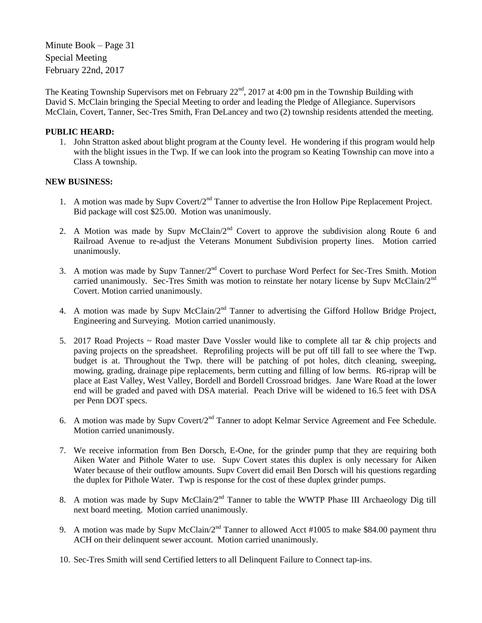Minute Book – Page 31 Special Meeting February 22nd, 2017

The Keating Township Supervisors met on February 22<sup>nd</sup>, 2017 at 4:00 pm in the Township Building with David S. McClain bringing the Special Meeting to order and leading the Pledge of Allegiance. Supervisors McClain, Covert, Tanner, Sec-Tres Smith, Fran DeLancey and two (2) township residents attended the meeting.

## **PUBLIC HEARD:**

1. John Stratton asked about blight program at the County level. He wondering if this program would help with the blight issues in the Twp. If we can look into the program so Keating Township can move into a Class A township.

## **NEW BUSINESS:**

- 1. A motion was made by Supv Covert/2<sup>nd</sup> Tanner to advertise the Iron Hollow Pipe Replacement Project. Bid package will cost \$25.00. Motion was unanimously.
- 2. A Motion was made by Supv McClain/ $2<sup>nd</sup>$  Covert to approve the subdivision along Route 6 and Railroad Avenue to re-adjust the Veterans Monument Subdivision property lines. Motion carried unanimously.
- 3. A motion was made by Supy Tanner/ $2<sup>nd</sup>$  Covert to purchase Word Perfect for Sec-Tres Smith. Motion carried unanimously. Sec-Tres Smith was motion to reinstate her notary license by Supv McClain/2<sup>nd</sup> Covert. Motion carried unanimously.
- 4. A motion was made by Supv McClain/ $2<sup>nd</sup>$  Tanner to advertising the Gifford Hollow Bridge Project, Engineering and Surveying. Motion carried unanimously.
- 5. 2017 Road Projects  $\sim$  Road master Dave Vossler would like to complete all tar & chip projects and paving projects on the spreadsheet. Reprofiling projects will be put off till fall to see where the Twp. budget is at. Throughout the Twp. there will be patching of pot holes, ditch cleaning, sweeping, mowing, grading, drainage pipe replacements, berm cutting and filling of low berms. R6-riprap will be place at East Valley, West Valley, Bordell and Bordell Crossroad bridges. Jane Ware Road at the lower end will be graded and paved with DSA material. Peach Drive will be widened to 16.5 feet with DSA per Penn DOT specs.
- 6. A motion was made by Supv Covert/2<sup>nd</sup> Tanner to adopt Kelmar Service Agreement and Fee Schedule. Motion carried unanimously.
- 7. We receive information from Ben Dorsch, E-One, for the grinder pump that they are requiring both Aiken Water and Pithole Water to use. Supv Covert states this duplex is only necessary for Aiken Water because of their outflow amounts. Supv Covert did email Ben Dorsch will his questions regarding the duplex for Pithole Water. Twp is response for the cost of these duplex grinder pumps.
- 8. A motion was made by Supv McClain/ $2<sup>nd</sup>$  Tanner to table the WWTP Phase III Archaeology Dig till next board meeting. Motion carried unanimously.
- 9. A motion was made by Supv McClain/2<sup>nd</sup> Tanner to allowed Acct #1005 to make \$84.00 payment thru ACH on their delinquent sewer account. Motion carried unanimously.
- 10. Sec-Tres Smith will send Certified letters to all Delinquent Failure to Connect tap-ins.